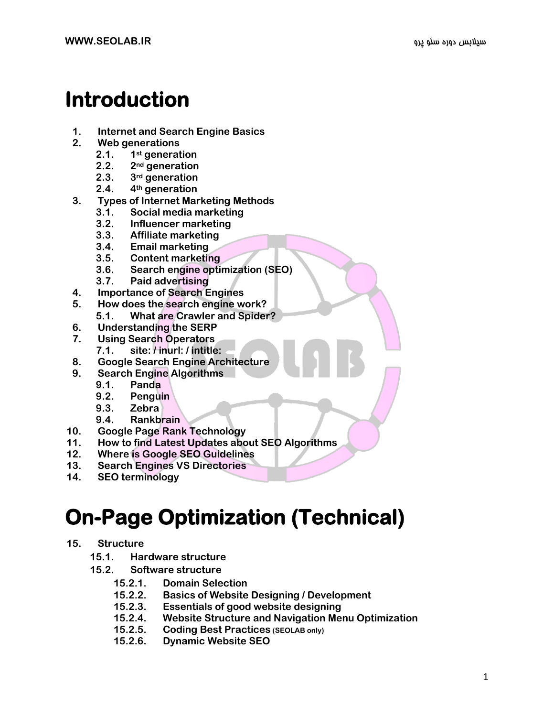# **Introduction**

- **1. Internet and Search Engine Basics**
- **2. Web generations**
	- **2.1. 1st generation**
	- **2.2. 2nd generation**
	- **2.3. 3rd generation**
	- **2.4. 4th generation**
- **3. Types of Internet Marketing Methods**
	- **3.1. Social media marketing**
	- **3.2. Influencer marketing**
	- **3.3. Affiliate marketing**
	- **3.4. Email marketing**
	- **3.5. Content marketing**
	- **3.6. Search engine optimization (SEO)**
	- **3.7. Paid advertising**
- **4. Importance of Search Engines**
- **5. How does the search engine work?**
	- **5.1. What are Crawler and Spider?**
- **6. Understanding the SERP**
- **7. Using Search Operators**
	- **7.1. site: / inurl: / intitle:**
- **8. Google Search Engine Architecture**
- **9. Search Engine Algorithms**
	- **9.1. Panda**
	- **9.2. Penguin**
	- **9.3. Zebra**
	- **9.4. Rankbrain**
- **10. Google Page Rank Technology**
- **11. How to find Latest Updates about SEO Algorithms**
- **12. Where is Google SEO Guidelines**
- **13. Search Engines VS Directories**
- **14. SEO terminology**

## **On-Page Optimization (Technical)**

- **15. Structure**
	- **15.1. Hardware structure**
	- **15.2. Software structure**
		- **15.2.1. Domain Selection**
		- **15.2.2. Basics of Website Designing / Development**
		- **15.2.3. Essentials of good website designing**
		- **15.2.4. Website Structure and Navigation Menu Optimization**
		- **15.2.5. Coding Best Practices (SEOLAB only)**
		- **15.2.6. Dynamic Website SEO**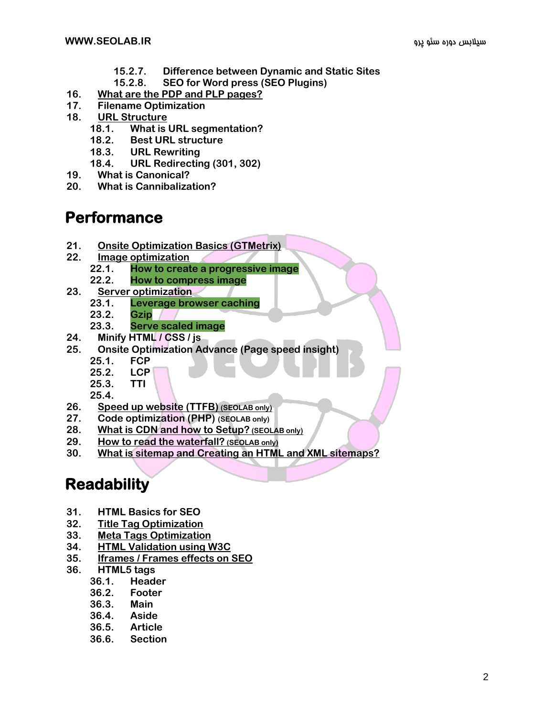- **15.2.7. Difference between Dynamic and Static Sites**
- **15.2.8. SEO for Word press (SEO Plugins)**
- **16. [What are the PDP and PLP pages?](https://drive.google.com/open?id=1iMujINeJYOgVq7mLhoxE67KZ7kd1JNjq2gp8Hd8sDd8)**
- **17. Filename Optimization**
- **18. [URL Structure](https://drive.google.com/open?id=1gmBMCCMeVk66W2HOgph2HK4sR51e_LXYGF2EyctIecQ)**
	- **18.1. What is URL segmentation?**
	- **18.2. Best URL structure**
	- **18.3. URL Rewriting**
	- **18.4. URL Redirecting (301, 302)**
- **19. What is Canonical?**
- **20. What is Cannibalization?**

#### **Performance**

- **21. [Onsite Optimization Basics \(GTMetrix\)](https://drive.google.com/open?id=1zJbC9BTXHXgj11YyEFSln8c4Wf5lbjTcpqgn5RfRD_Q)**
- **22. [Image optimization](https://drive.google.com/open?id=1b_GFeA2PV-TNH22LUFnkwEm6O9q6qFOfSN_v2QqiUTs)**
	- **22.1. How to create a progressive image**
	- **22.2. How to compress image**
- **23. [Server optimization](https://drive.google.com/open?id=18lD2MrXNsz1GUYtPeBF3vjvj8izmQm0k2N4a40FUX8E)**
	- **23.1. Leverage browser caching**
	- **23.2. Gzip**
	- **23.3. Serve scaled image**
- **24. Minify HTML / CSS / js**
- **25. Onsite Optimization Advance (Page speed insight)**
	- **25.1. FCP**
	- **25.2. LCP**
	- **25.3. TTI**
	- **25.4.**
- **26. [Speed up website \(TTFB\)](https://drive.google.com/open?id=1D4T4rQnoo7RODyFYNEuVWddtm2LtlGhuCkVbSbe799w) [\(SEOLAB only\)](https://drive.google.com/open?id=1D4T4rQnoo7RODyFYNEuVWddtm2LtlGhuCkVbSbe799w)**
- **27. Code optimization (PHP) (SEOLAB only)**
- **28. [What is CDN and how to Setup?](https://drive.google.com/open?id=1xuL3ZE7gwW6RkbSGhn9uODjYl7_QVShHxYUop94PTIg) [\(SEOLAB only\)](https://drive.google.com/open?id=1xuL3ZE7gwW6RkbSGhn9uODjYl7_QVShHxYUop94PTIg)**
- **29. [How to read the waterfall?](https://drive.google.com/open?id=1ZCWiIMd7Yqf9XEDnH5Odty4KS7CJ-Yl_JoWs2AKd2oY) [\(SEOLAB only\)](https://drive.google.com/open?id=1ZCWiIMd7Yqf9XEDnH5Odty4KS7CJ-Yl_JoWs2AKd2oY)**
- **30. [What is sitemap and Creating an HTML and XML sitemaps?](https://drive.google.com/open?id=1eHhBu-Z8KNdcgnB_Fnm_Aoh8x8VMzvOk_v_RkrNtTDE)**

#### **Readability**

- **31. HTML Basics for SEO**
- **32. [Title Tag Optimization](https://drive.google.com/open?id=1yguRchoSf-nUWA56C5Qteg7z2h2kJ1OBILKH_1YcNX8)**
- **33. [Meta Tags Optimization](https://drive.google.com/open?id=1rEW3QXTYgx7LT1PLATCGOGRCnIhOFgJB0Z_CMyJKdNM)**
- **34. [HTML Validation using W3C](https://drive.google.com/open?id=13dQvIHSiwKudMOKqbQCnVBw9TR91vQ6AoZfWfZ63XR0)**
- **35. [Iframes / Frames effects on SEO](https://drive.google.com/open?id=1Hv0e-jSmTcAVPsUc2FqxtjuVLm9VII4gzLY_aMKHmx4)**
- **36. HTML5 tags**
	- **36.1. Header**
	- **36.2. Footer**
	- **36.3. Main**
	- **36.4. Aside**
	- **36.5. Article**
	- **36.6. Section**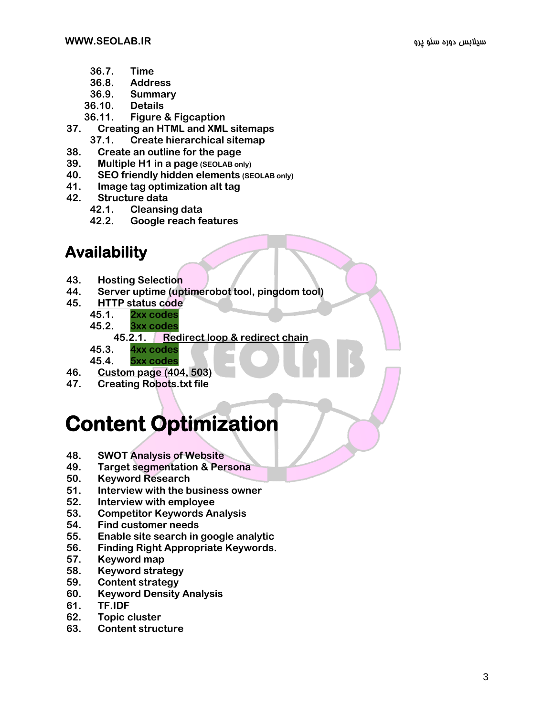- **36.7. Time**
- **36.8. Address**
- **36.9. Summary**
- **36.10. Details**
- **36.11. Figure & Figcaption**
- **37. Creating an HTML and XML sitemaps**
	- **37.1. Create hierarchical sitemap**
- **38. Create an outline for the page**
- **39. Multiple H1 in a page (SEOLAB only)**
- **40. SEO friendly hidden elements (SEOLAB only)**
- **41. Image tag optimization alt tag**
- **42. Structure data**
	- **42.1. Cleansing data**
	- **42.2. Google reach features**

#### **Availability**

- **43. Hosting Selection**
- **44. Server uptime (uptimerobot tool, pingdom tool)**
- **45. [HTTP status code](https://drive.google.com/open?id=10kp7y8TPBQSNqSV-Qz6bMov3jeoxmhNIETKi35QBIHk)**
	- **45.1. 2xx codes**
	- **45.2. 3xx codes**
		- **45.2.1. [Redirect loop &](https://drive.google.com/open?id=1pjlaNqnfD8z24R6d-DduoDC47i8s8ZiJG6uiiPeCa5M) redirect chain**
	- **45.3. 4xx codes**
	- **45.4. 5xx codes**
- **46. [Custom page \(404, 503\)](https://drive.google.com/open?id=1zinTS5r-EoX9W8j1rPsstG6PTQup0XQlNMMiLmcNwks)**
- **47. Creating Robots.txt file**

## **Content Optimization**

- **48. SWOT Analysis of Website**
- **49. Target segmentation & Persona**
- **50. Keyword Research**
- **51. Interview with the business owner**
- **52. Interview with employee**
- **53. Competitor Keywords Analysis**
- **54. Find customer needs**
- **55. Enable site search in google analytic**
- **56. Finding Right Appropriate Keywords.**
- **57. Keyword map**
- **58. Keyword strategy**
- **59. Content strategy**
- **60. Keyword Density Analysis**
- **61. TF.IDF**
- **62. Topic cluster**
- **63. Content structure**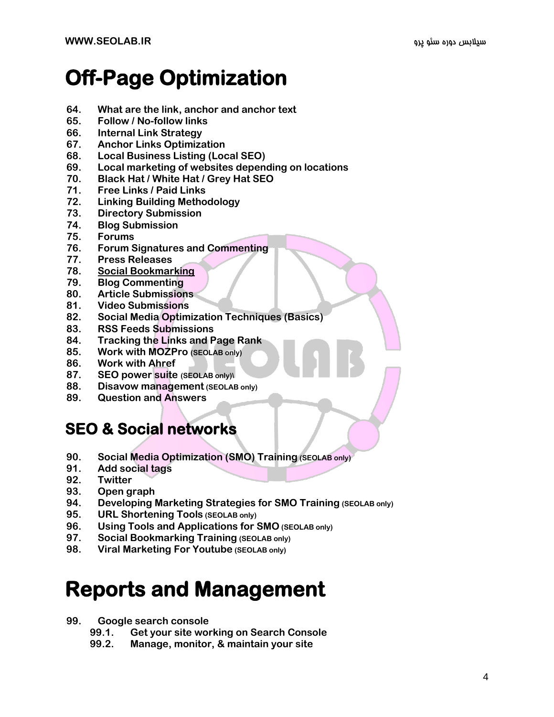## **Off-Page Optimization**

- **64. What are the link, anchor and anchor text**
- **65. Follow / No-follow links**
- **66. Internal Link Strategy**
- **67. Anchor Links Optimization**
- **68. Local Business Listing (Local SEO)**
- **69. Local marketing of websites depending on locations**
- **70. Black Hat / White Hat / Grey Hat SEO**
- **71. Free Links / Paid Links**
- **72. Linking Building Methodology**
- **73. Directory Submission**
- **74. Blog Submission**
- **75. Forums**
- **76. Forum Signatures and Commenting**
- **77. Press Releases**
- **78. [Social Bookmarking](https://drive.google.com/open?id=1gGe5uoRUKv-z3smDHQAl6ixKTcw1i0OS-m0Vwu64efA)**
- **79. Blog Commenting**
- **80. Article Submissions**
- **81. Video Submissions**
- **82. Social Media Optimization Techniques (Basics)**
- **83. RSS Feeds Submissions**
- **84. Tracking the Links and Page Rank**
- **85. Work with MOZPro (SEOLAB only)**
- **86. Work with Ahref**
- **87. SEO power suite (SEOLAB only)\**
- **88. Disavow management (SEOLAB only)**
- **89. Question and Answers**

#### **SEO & Social networks**

- **90. Social Media Optimization (SMO) Training (SEOLAB only)**
- **91. Add social tags**
- **92. Twitter**
- **93. Open graph**
- **94. Developing Marketing Strategies for SMO Training (SEOLAB only)**
- **95. URL Shortening Tools (SEOLAB only)**
- **96. Using Tools and Applications for SMO (SEOLAB only)**
- **97. Social Bookmarking Training (SEOLAB only)**
- **98. Viral Marketing For Youtube (SEOLAB only)**

### **Reports and Management**

#### **99. Google search console**

- **99.1. Get your site working on Search Console**
- **99.2. Manage, monitor, & maintain your site**